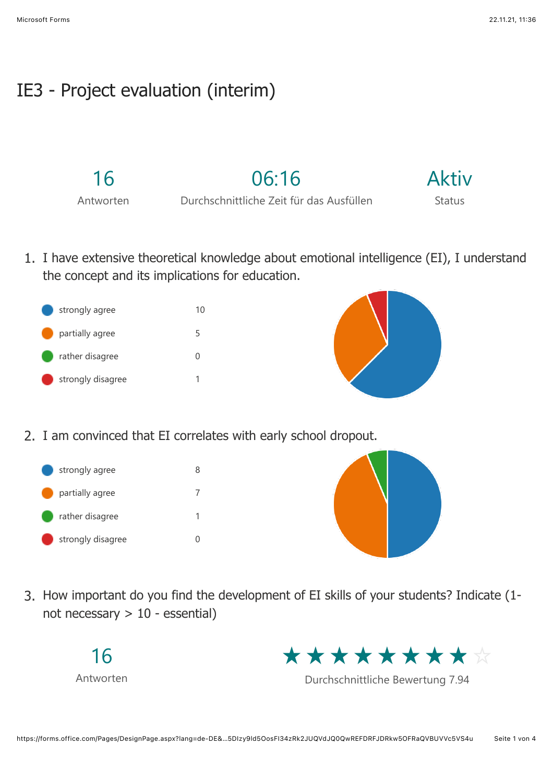## IE3 - Project evaluation (interim)

16

Antworten

Durchschnittliche Zeit für das Ausfüllen

06:16

Aktiv Status

1. I have extensive theoretical knowledge about emotional intelligence (EI), I understand the concept and its implications for education.





2. I am convinced that EI correlates with early school dropout.

strongly agree 8 partially agree 7 rather disagree 1 strongly disagree 0



3. How important do you find the development of EI skills of your students? Indicate (1 not necessary > 10 - essential)





Durchschnittliche Bewertung 7.94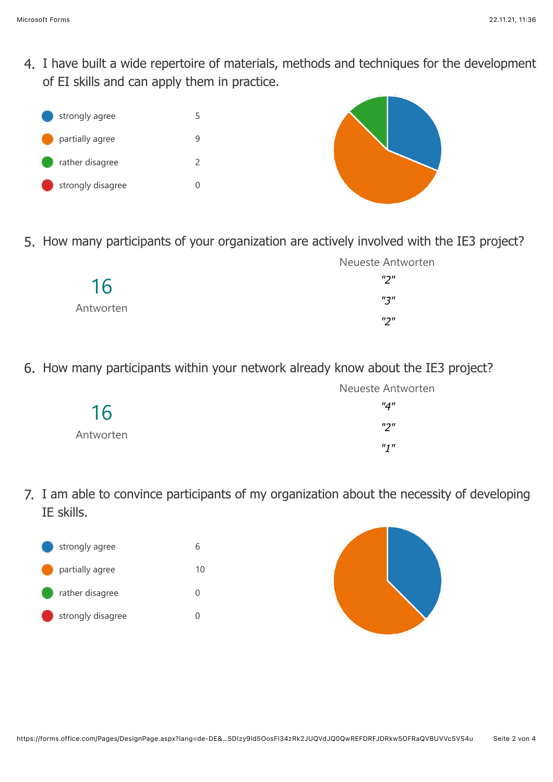4. I have built a wide repertoire of materials, methods and techniques for the development of EI skills and can apply them in practice.



5. How many participants of your organization are actively involved with the IE3 project?

|                 | Neueste Antworten    |
|-----------------|----------------------|
| 16<br>Antworten | $^{\prime\prime}$    |
|                 | $^{\prime\prime}$ 3" |
|                 | $^{\prime\prime}$    |

6. How many participants within your network already know about the IE3 project?

|                 | <b>Neueste Antworten</b> |
|-----------------|--------------------------|
| 16<br>Antworten | "4"                      |
|                 | $^{\prime\prime}$        |
|                 | $n_1 n$                  |

7. I am able to convince participants of my organization about the necessity of developing IE skills.



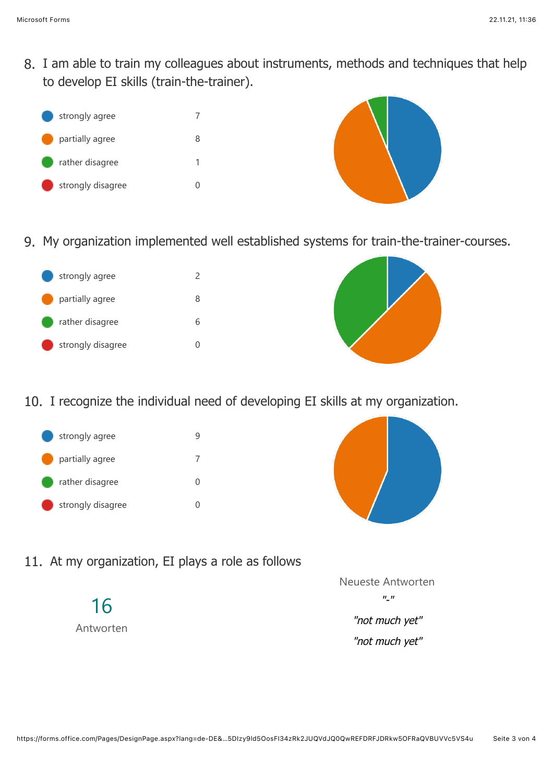8. I am able to train my colleagues about instruments, methods and techniques that help to develop EI skills (train-the-trainer).





9. My organization implemented well established systems for train-the-trainer-courses.





10. I recognize the individual need of developing EI skills at my organization.





11. At my organization, EI plays a role as follows

16 Antworten



"not much yet"